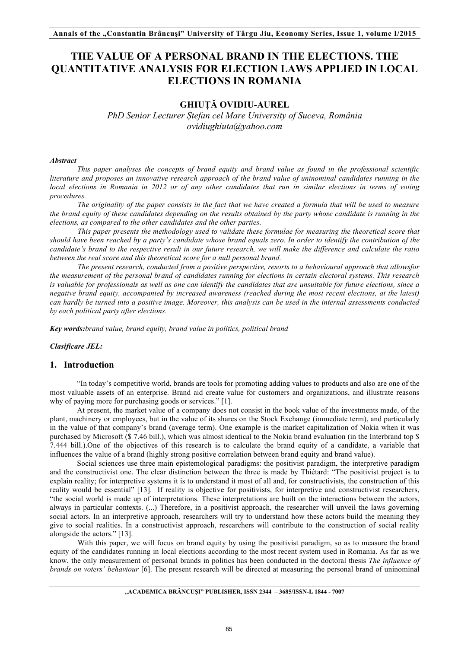# **THE VALUE OF A PERSONAL BRAND IN THE ELECTIONS. THE QUANTITATIVE ANALYSIS FOR ELECTION LAWS APPLIED IN LOCAL ELECTIONS IN ROMANIA**

# **GHIUȚĂ OVIDIU-AUREL**

*PhD Senior Lecturer Ștefan cel Mare University of Suceva, România ovidiughiuta@yahoo.com* 

### *Abstract*

*This paper analyses the concepts of brand equity and brand value as found in the professional scientific literature and proposes an innovative research approach of the brand value of uninominal candidates running in the local elections in Romania in 2012 or of any other candidates that run in similar elections in terms of voting procedures.*

*The originality of the paper consists in the fact that we have created a formula that will be used to measure the brand equity of these candidates depending on the results obtained by the party whose candidate is running in the elections, as compared to the other candidates and the other parties.*

*This paper presents the methodology used to validate these formulae for measuring the theoretical score that should have been reached by a party's candidate whose brand equals zero. In order to identify the contribution of the candidate's brand to the respective result in our future research, we will make the difference and calculate the ratio between the real score and this theoretical score for a null personal brand.*

*The present research, conducted from a positive perspective, resorts to a behavioural approach that allowsfor the measurement of the personal brand of candidates running for elections in certain electoral systems. This research is valuable for professionals as well as one can identify the candidates that are unsuitable for future elections, since a negative brand equity, accompanied by increased awareness (reached during the most recent elections, at the latest) can hardly be turned into a positive image. Moreover, this analysis can be used in the internal assessments conducted by each political party after elections.*

*Key words:brand value, brand equity, brand value in politics, political brand* 

*Clasificare JEL:*

# **1. Introduction**

"In today's competitive world, brands are tools for promoting adding values to products and also are one of the most valuable assets of an enterprise. Brand aid create value for customers and organizations, and illustrate reasons why of paying more for purchasing goods or services." [1].

At present, the market value of a company does not consist in the book value of the investments made, of the plant, machinery or employees, but in the value of its shares on the Stock Exchange (immediate term), and particularly in the value of that company's brand (average term). One example is the market capitalization of Nokia when it was purchased by Microsoft (\$ 7.46 bill.), which was almost identical to the Nokia brand evaluation (in the Interbrand top \$ 7.444 bill.).One of the objectives of this research is to calculate the brand equity of a candidate, a variable that influences the value of a brand (highly strong positive correlation between brand equity and brand value).

Social sciences use three main epistemological paradigms: the positivist paradigm, the interpretive paradigm and the constructivist one. The clear distinction between the three is made by Thiétard: "The positivist project is to explain reality; for interpretive systems it is to understand it most of all and, for constructivists, the construction of this reality would be essential" [13]. If reality is objective for positivists, for interpretive and constructivist researchers, "the social world is made up of interpretations. These interpretations are built on the interactions between the actors, always in particular contexts. (...) Therefore, in a positivist approach, the researcher will unveil the laws governing social actors. In an interpretive approach, researchers will try to understand how these actors build the meaning they give to social realities. In a constructivist approach, researchers will contribute to the construction of social reality alongside the actors." [13].

With this paper, we will focus on brand equity by using the positivist paradigm, so as to measure the brand equity of the candidates running in local elections according to the most recent system used in Romania. As far as we know, the only measurement of personal brands in politics has been conducted in the doctoral thesis *The influence of brands on voters' behaviour* [6]. The present research will be directed at measuring the personal brand of uninominal

#### **"ACADEMICA BRÂNCUŞI" PUBLISHER, ISSN 2344 – 3685/ISSN-L 1844 - 7007**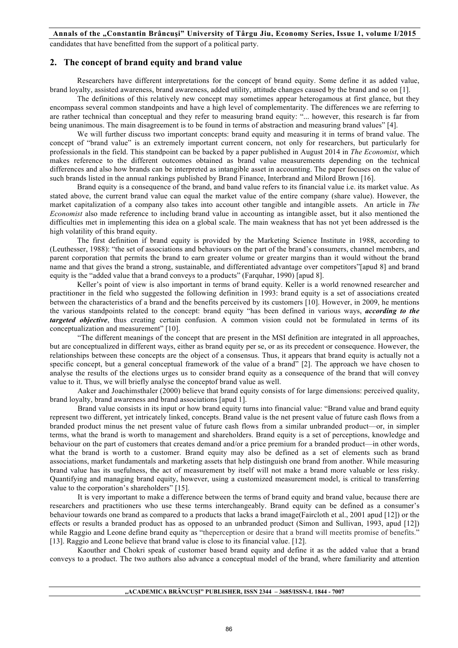candidates that have benefitted from the support of a political party.

# **2. The concept of brand equity and brand value**

Researchers have different interpretations for the concept of brand equity. Some define it as added value, brand loyalty, assisted awareness, brand awareness, added utility, attitude changes caused by the brand and so on [1].

The definitions of this relatively new concept may sometimes appear heterogamous at first glance, but they encompass several common standpoints and have a high level of complementarity. The differences we are referring to are rather technical than conceptual and they refer to measuring brand equity: "... however, this research is far from being unanimous. The main disagreement is to be found in terms of abstraction and measuring brand values" [4].

We will further discuss two important concepts: brand equity and measuring it in terms of brand value. The concept of "brand value" is an extremely important current concern, not only for researchers, but particularly for professionals in the field. This standpoint can be backed by a paper published in August 2014 in *The Economist*, which makes reference to the different outcomes obtained as brand value measurements depending on the technical differences and also how brands can be interpreted as intangible asset in accounting. The paper focuses on the value of such brands listed in the annual rankings published by Brand Finance, Interbrand and Milord Brown [16].

Brand equity is a consequence of the brand, and band value refers to its financial value i.e. its market value. As stated above, the current brand value can equal the market value of the entire company (share value). However, the market capitalization of a company also takes into account other tangible and intangible assets. An article in *The Economist* also made reference to including brand value in accounting as intangible asset, but it also mentioned the difficulties met in implementing this idea on a global scale. The main weakness that has not yet been addressed is the high volatility of this brand equity.

The first definition if brand equity is provided by the Marketing Science Institute in 1988, according to (Leuthesser, 1988): "the set of associations and behaviours on the part of the brand's consumers, channel members, and parent corporation that permits the brand to earn greater volume or greater margins than it would without the brand name and that gives the brand a strong, sustainable, and differentiated advantage over competitors"[apud 8] and brand equity is the "added value that a brand conveys to a products" (Farquhar, 1990) [apud 8].

Keller's point of view is also important in terms of brand equity. Keller is a world renowned researcher and practitioner in the field who suggested the following definition in 1993: brand equity is a set of associations created between the characteristics of a brand and the benefits perceived by its customers [10]. However, in 2009, he mentions the various standpoints related to the concept: brand equity "has been defined in various ways, *according to the targeted objective*, thus creating certain confusion. A common vision could not be formulated in terms of its conceptualization and measurement" [10].

"The different meanings of the concept that are present in the MSI definition are integrated in all approaches, but are conceptualized in different ways, either as brand equity per se, or as its precedent or consequence. However, the relationships between these concepts are the object of a consensus. Thus, it appears that brand equity is actually not a specific concept, but a general conceptual framework of the value of a brand" [2]. The approach we have chosen to analyse the results of the elections urges us to consider brand equity as a consequence of the brand that will convey value to it. Thus, we will briefly analyse the conceptof brand value as well.

Aaker and Joachimsthaler (2000) believe that brand equity consists of for large dimensions: perceived quality, brand loyalty, brand awareness and brand associations [apud 1].

Brand value consists in its input or how brand equity turns into financial value: "Brand value and brand equity represent two different, yet intricately linked, concepts. Brand value is the net present value of future cash flows from a branded product minus the net present value of future cash flows from a similar unbranded product—or, in simpler terms, what the brand is worth to management and shareholders. Brand equity is a set of perceptions, knowledge and behaviour on the part of customers that creates demand and/or a price premium for a branded product—in other words, what the brand is worth to a customer. Brand equity may also be defined as a set of elements such as brand associations, market fundamentals and marketing assets that help distinguish one brand from another. While measuring brand value has its usefulness, the act of measurement by itself will not make a brand more valuable or less risky. Quantifying and managing brand equity, however, using a customized measurement model, is critical to transferring value to the corporation's shareholders" [15].

It is very important to make a difference between the terms of brand equity and brand value, because there are researchers and practitioners who use these terms interchangeably. Brand equity can be defined as a consumer's behaviour towards one brand as compared to a products that lacks a brand image(Faircloth et al., 2001 apud [12]) or the effects or results a branded product has as opposed to an unbranded product (Simon and Sullivan, 1993, apud [12]) while Raggio and Leone define brand equity as "theperception or desire that a brand will meetits promise of benefits." [13]. Raggio and Leone believe that brand value is close to its financial value. [12].

Kaouther and Chokri speak of customer based brand equity and define it as the added value that a brand conveys to a product. The two authors also advance a conceptual model of the brand, where familiarity and attention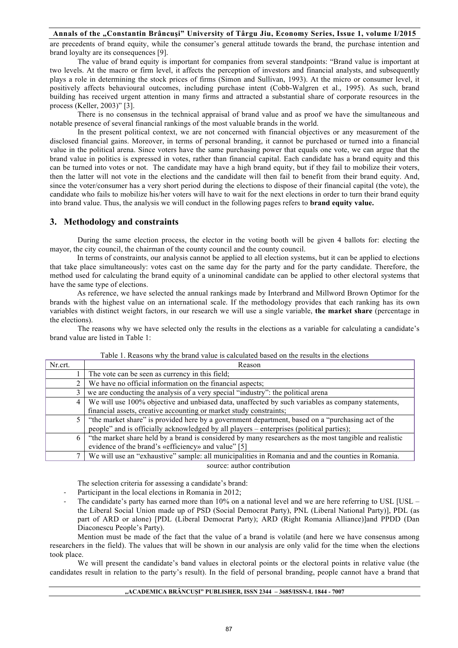are precedents of brand equity, while the consumer's general attitude towards the brand, the purchase intention and brand loyalty are its consequences [9].

The value of brand equity is important for companies from several standpoints: "Brand value is important at two levels. At the macro or firm level, it affects the perception of investors and financial analysts, and subsequently plays a role in determining the stock prices of firms (Simon and Sullivan, 1993). At the micro or consumer level, it positively affects behavioural outcomes, including purchase intent (Cobb-Walgren et al., 1995). As such, brand building has received urgent attention in many firms and attracted a substantial share of corporate resources in the process (Keller, 2003)" [3].

There is no consensus in the technical appraisal of brand value and as proof we have the simultaneous and notable presence of several financial rankings of the most valuable brands in the world.

In the present political context, we are not concerned with financial objectives or any measurement of the disclosed financial gains. Moreover, in terms of personal branding, it cannot be purchased or turned into a financial value in the political arena. Since voters have the same purchasing power that equals one vote, we can argue that the brand value in politics is expressed in votes, rather than financial capital. Each candidate has a brand equity and this can be turned into votes or not. The candidate may have a high brand equity, but if they fail to mobilize their voters, then the latter will not vote in the elections and the candidate will then fail to benefit from their brand equity. And, since the voter/consumer has a very short period during the elections to dispose of their financial capital (the vote), the candidate who fails to mobilize his/her voters will have to wait for the next elections in order to turn their brand equity into brand value. Thus, the analysis we will conduct in the following pages refers to **brand equity value.** 

# **3. Methodology and constraints**

During the same election process, the elector in the voting booth will be given 4 ballots for: electing the mayor, the city council, the chairman of the county council and the county council.

In terms of constraints, our analysis cannot be applied to all election systems, but it can be applied to elections that take place simultaneously: votes cast on the same day for the party and for the party candidate. Therefore, the method used for calculating the brand equity of a uninominal candidate can be applied to other electoral systems that have the same type of elections.

As reference, we have selected the annual rankings made by Interbrand and Millword Brown Optimor for the brands with the highest value on an international scale. If the methodology provides that each ranking has its own variables with distinct weight factors, in our research we will use a single variable, **the market share** (percentage in the elections).

The reasons why we have selected only the results in the elections as a variable for calculating a candidate's brand value are listed in Table 1:

| Nr.crt. | Reason                                                                                                 |  |  |
|---------|--------------------------------------------------------------------------------------------------------|--|--|
|         | The vote can be seen as currency in this field;                                                        |  |  |
|         | We have no official information on the financial aspects;                                              |  |  |
|         | we are conducting the analysis of a very special "industry": the political arena                       |  |  |
| 4       | We will use 100% objective and unbiased data, unaffected by such variables as company statements,      |  |  |
|         | financial assets, creative accounting or market study constraints;                                     |  |  |
| 5       | "the market share" is provided here by a government department, based on a "purchasing act of the      |  |  |
|         | people" and is officially acknowledged by all players – enterprises (political parties);               |  |  |
| 6 I     | "the market share held by a brand is considered by many researchers as the most tangible and realistic |  |  |
|         | evidence of the brand's «efficiency» and value" [5]                                                    |  |  |
|         | We will use an "exhaustive" sample: all municipalities in Romania and and the counties in Romania.     |  |  |

#### Table 1. Reasons why the brand value is calculated based on the results in the elections

The selection criteria for assessing a candidate's brand:

- Participant in the local elections in Romania in 2012;
- The candidate's party has earned more than 10% on a national level and we are here referring to USL [USL the Liberal Social Union made up of PSD (Social Democrat Party), PNL (Liberal National Party)], PDL (as part of ARD or alone) [PDL (Liberal Democrat Party); ARD (Right Romania Alliance)]and PPDD (Dan Diaconescu People's Party).

source: author contribution

Mention must be made of the fact that the value of a brand is volatile (and here we have consensus among researchers in the field). The values that will be shown in our analysis are only valid for the time when the elections took place.

We will present the candidate's band values in electoral points or the electoral points in relative value (the candidates result in relation to the party's result). In the field of personal branding, people cannot have a brand that

#### **"ACADEMICA BRÂNCUŞI" PUBLISHER, ISSN 2344 – 3685/ISSN-L 1844 - 7007**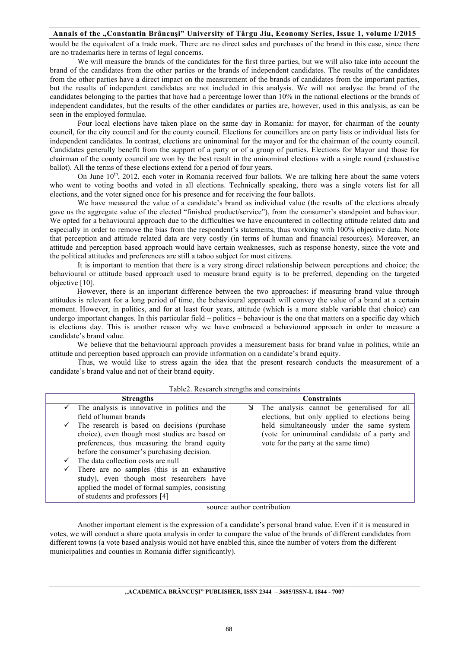would be the equivalent of a trade mark. There are no direct sales and purchases of the brand in this case, since there are no trademarks here in terms of legal concerns.

We will measure the brands of the candidates for the first three parties, but we will also take into account the brand of the candidates from the other parties or the brands of independent candidates. The results of the candidates from the other parties have a direct impact on the measurement of the brands of candidates from the important parties, but the results of independent candidates are not included in this analysis. We will not analyse the brand of the candidates belonging to the parties that have had a percentage lower than 10% in the national elections or the brands of independent candidates, but the results of the other candidates or parties are, however, used in this analysis, as can be seen in the employed formulae.

Four local elections have taken place on the same day in Romania: for mayor, for chairman of the county council, for the city council and for the county council. Elections for councillors are on party lists or individual lists for independent candidates. In contrast, elections are uninominal for the mayor and for the chairman of the county council. Candidates generally benefit from the support of a party or of a group of parties. Elections for Mayor and those for chairman of the county council are won by the best result in the uninominal elections with a single round (exhaustive ballot). All the terms of these elections extend for a period of four years.

On June 10<sup>th</sup>, 2012, each voter in Romania received four ballots. We are talking here about the same voters who went to voting booths and voted in all elections. Technically speaking, there was a single voters list for all elections, and the voter signed once for his presence and for receiving the four ballots.

We have measured the value of a candidate's brand as individual value (the results of the elections already gave us the aggregate value of the elected "finished product/service"), from the consumer's standpoint and behaviour. We opted for a behavioural approach due to the difficulties we have encountered in collecting attitude related data and especially in order to remove the bias from the respondent's statements, thus working with 100% objective data. Note that perception and attitude related data are very costly (in terms of human and financial resources). Moreover, an attitude and perception based approach would have certain weaknesses, such as response honesty, since the vote and the political attitudes and preferences are still a taboo subject for most citizens.

It is important to mention that there is a very strong direct relationship between perceptions and choice; the behavioural or attitude based approach used to measure brand equity is to be preferred, depending on the targeted objective [10].

However, there is an important difference between the two approaches: if measuring brand value through attitudes is relevant for a long period of time, the behavioural approach will convey the value of a brand at a certain moment. However, in politics, and for at least four years, attitude (which is a more stable variable that choice) can undergo important changes. In this particular field – politics – behaviour is the one that matters on a specific day which is elections day. This is another reason why we have embraced a behavioural approach in order to measure a candidate's brand value.

We believe that the behavioural approach provides a measurement basis for brand value in politics, while an attitude and perception based approach can provide information on a candidate's brand equity.

Thus, we would like to stress again the idea that the present research conducts the measurement of a candidate's brand value and not of their brand equity.

| <b>Strengths</b> |                                                 | <b>Constraints</b>                                               |
|------------------|-------------------------------------------------|------------------------------------------------------------------|
|                  | The analysis is innovative in politics and the  | $\blacktriangleright$ The analysis cannot be generalised for all |
|                  | field of human brands                           | elections, but only applied to elections being                   |
| $\checkmark$     | The research is based on decisions (purchase    | held simultaneously under the same system                        |
|                  | choice), even though most studies are based on  | (vote for uninominal candidate of a party and                    |
|                  | preferences, thus measuring the brand equity    | vote for the party at the same time)                             |
|                  | before the consumer's purchasing decision.      |                                                                  |
| $\checkmark$     | The data collection costs are null              |                                                                  |
| v                | There are no samples (this is an exhaustive     |                                                                  |
|                  | study), even though most researchers have       |                                                                  |
|                  | applied the model of formal samples, consisting |                                                                  |
|                  | of students and professors [4]                  |                                                                  |

Table2. Research strengths and constraints

source: author contribution

Another important element is the expression of a candidate's personal brand value. Even if it is measured in votes, we will conduct a share quota analysis in order to compare the value of the brands of different candidates from different towns (a vote based analysis would not have enabled this, since the number of voters from the different municipalities and counties in Romania differ significantly).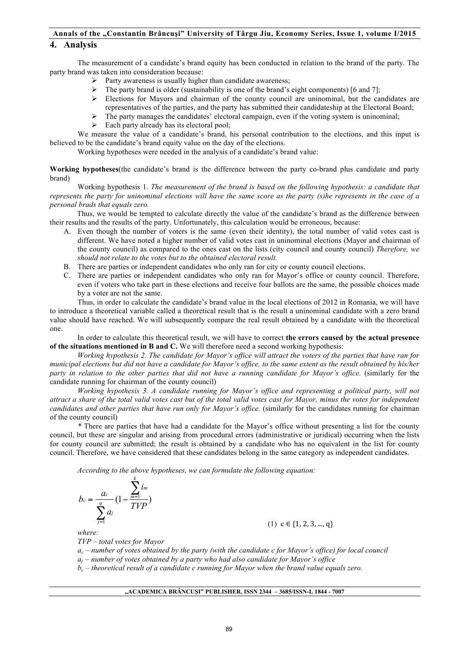# **4. Analysis**

The measurement of a candidate's brand equity has been conducted in relation to the brand of the party. The party brand was taken into consideration because:

- $\triangleright$  Party awareness is usually higher than candidate awareness;
- The party brand is older (sustainability is one of the brand's eight components) [6 and 7];
- $\triangleright$  Elections for Mayors and chairman of the county council are uninominal, but the candidates are representatives of the parties, and the party has submitted their candidateship at the Electoral Board;
	- The party manages the candidates' electoral campaign, even if the voting system is uninominal;
- $\triangleright$  Each party already has its electoral pool:

We measure the value of a candidate's brand, his personal contribution to the elections, and this input is believed to be the candidate's brand equity value on the day of the elections.

Working hypotheses were needed in the analysis of a candidate's brand value:

**Working hypotheses**(the candidate's brand is the difference between the party co-brand plus candidate and party brand)

Working hypothesis 1. *The measurement of the brand is based on the following hypothesis: a candidate that represents the party for uninominal elections will have the same score as the party (s)he represents in the case of a personal brads that equals zero.* 

Thus, we would be tempted to calculate directly the value of the candidate's brand as the difference between their results and the results of the party. Unfortunately, this calculation would be erroneous, because:

- A. Even though the number of voters is the same (even their identity), the total number of valid votes cast is different. We have noted a higher number of valid votes cast in uninominal elections (Mayor and chairman of the county council) as compared to the ones cast on the lists (city council and county council) *Therefore, we should not relate to the votes but to the obtained electoral result.*
- B. There are parties or independent candidates who only ran for city or county council elections.
- C. There are parties or independent candidates who only ran for Mayor's office or county council. Therefore, even if voters who take part in these elections and receive four ballots are the same, the possible choices made by a voter are not the same.

Thus, in order to calculate the candidate's brand value in the local elections of 2012 in Romania, we will have to introduce a theoretical variable called a theoretical result that is the result a uninominal candidate with a zero brand value should have reached. We will subsequently compare the real result obtained by a candidate with the theoretical one.

In order to calculate this theoretical result, we will have to correct **the errors caused by the actual presence of the situations mentioned in B and C.** We will therefore need a second working hypothesis:

*Working hypothesis 2. The candidate for Mayor's office will attract the voters of the parties that have ran for municipal elections but did not have a candidate for Mayor's office, to the same extent as the result obtained by his/her party in relation to the other parties that did not have a running candidate for Mayor's office.* (similarly for the candidate running for chairman of the county council)

*Working hypothesis 3. A candidate running for Mayor's office and representing a political party, will not attract a share of the total valid votes cast but of the total valid votes cast for Mayor, minus the votes for independent candidates and other parties that have run only for Mayor's office.* (similarly for the candidates running for chairman of the county council)

*\** There are parties that have had a candidate for the Mayor's office without presenting a list for the county council, but these are singular and arising from procedural errors (administrative or juridical) occurring when the lists for county council are submitted; the result is obtained by a candidate who has no equivalent in the list for county council. Therefore, we have considered that these candidates belong in the same category as independent candidates.

*According to the above hypotheses, we can formulate the following equation:* 

$$
b_c = \frac{a_c}{\sum_{j=1}^q a_j} \left(1 - \frac{\sum_{m=1}^k i_m}{TVP}\right)
$$

 $(1)$  c  $\in \{1, 2, 3, ..., q\}$ 

*where:*

*TVP – total votes for Mayor*

*ac – number of votes obtained by the party (with the candidate c for Mayor's office) for local council* 

*aj – number of votes obtained by a party who had also candidate for Mayor's office* 

 $\dot{b}_c$  – theoretical result of a candidate c running for Mayor when the brand value equals zero.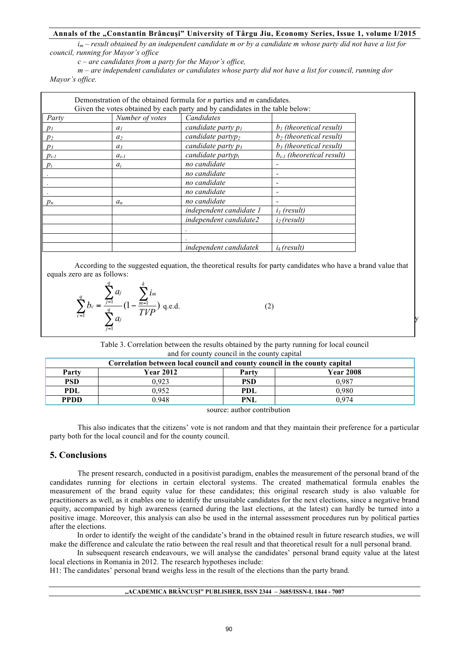*im – result obtained by an independent candidate m or by a candidate m whose party did not have a list for council, running for Mayor's office*

*c – are candidates from a party for the Mayor's office,* 

*m – are independent candidates or candidates whose party did not have a list for council, running dor Mayor's office.* 

|           |                 | Demonstration of the obtained formula for $n$ parties and $m$ candidates.<br>Given the votes obtained by each party and by candidates in the table below: |                                |
|-----------|-----------------|-----------------------------------------------------------------------------------------------------------------------------------------------------------|--------------------------------|
| Party     | Number of votes | Candidates                                                                                                                                                |                                |
| $p_I$     | a <sub>1</sub>  | candidate party $p_l$                                                                                                                                     | $b1$ (theoretical result)      |
| $p_2$     | a <sub>2</sub>  | candidate partyp <sub>2</sub>                                                                                                                             | $b_2$ (theoretical result)     |
| $p_3$     | $a_3$           | candidate party $p_3$                                                                                                                                     | $b_3$ (theoretical result)     |
| $p_{i-l}$ | $a_{i-l}$       | candidate party $p_i$                                                                                                                                     | $b_{i-1}$ (theoretical result) |
| $p_i$     | $a_i$           | no candidate                                                                                                                                              |                                |
|           |                 | no candidate                                                                                                                                              |                                |
|           |                 | no candidate                                                                                                                                              |                                |
|           |                 | no candidate                                                                                                                                              |                                |
| $p_n$     | $a_n$           | no candidate                                                                                                                                              |                                |
|           |                 | independent candidate 1                                                                                                                                   | $iI$ (result)                  |
|           |                 | independent candidate2                                                                                                                                    | $i2$ (result)                  |
|           |                 |                                                                                                                                                           |                                |
|           |                 |                                                                                                                                                           |                                |
|           |                 | independent candidatek                                                                                                                                    | $i_k$ (result)                 |

According to the suggested equation, the theoretical results for party candidates who have a brand value that equals zero are as follows:

$$
\sum_{c=1}^{q} b_c = \frac{\sum_{j=1}^{q} a_j}{\sum_{j=1}^{q} a_j} \left(1 - \frac{\sum_{m=1}^{k} i_m}{TVP}\right) \text{ q.e.d.}
$$
 (2)

Table 3. Correlation between the results obtained by the party running for local council and for county council in the county capital

| Correlation between local council and county council in the county capital |                  |            |                  |  |  |  |
|----------------------------------------------------------------------------|------------------|------------|------------------|--|--|--|
| Partv                                                                      | <b>Year 2012</b> | Party      | <b>Year 2008</b> |  |  |  |
| <b>PSD</b>                                                                 | 0.923            | <b>PSD</b> | 0.987            |  |  |  |
| <b>PDL</b>                                                                 | 0.952            | PDL        | 0.980            |  |  |  |
| <b>PPDD</b>                                                                | 0.948            | <b>PNL</b> | በ 974            |  |  |  |
|                                                                            |                  |            |                  |  |  |  |

source: author contribution

This also indicates that the citizens' vote is not random and that they maintain their preference for a particular party both for the local council and for the county council.

# **5. Conclusions**

The present research, conducted in a positivist paradigm, enables the measurement of the personal brand of the candidates running for elections in certain electoral systems. The created mathematical formula enables the measurement of the brand equity value for these candidates; this original research study is also valuable for practitioners as well, as it enables one to identify the unsuitable candidates for the next elections, since a negative brand equity, accompanied by high awareness (earned during the last elections, at the latest) can hardly be turned into a positive image. Moreover, this analysis can also be used in the internal assessment procedures run by political parties after the elections.

In order to identify the weight of the candidate's brand in the obtained result in future research studies, we will make the difference and calculate the ratio between the real result and that theoretical result for a null personal brand.

In subsequent research endeavours, we will analyse the candidates' personal brand equity value at the latest local elections in Romania in 2012. The research hypotheses include:

H1: The candidates' personal brand weighs less in the result of the elections than the party brand.

#### **"ACADEMICA BRÂNCUŞI" PUBLISHER, ISSN 2344 – 3685/ISSN-L 1844 - 7007**